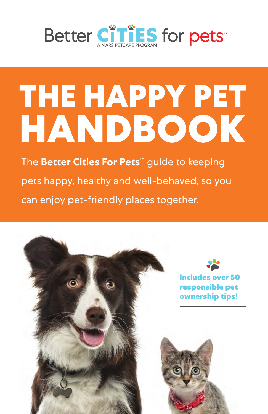

# **THE HAPPY PET HANDBOOK**

The **Better Cities For Pets**™ guide to keeping pets happy, healthy and well-behaved, so you can enjoy pet-friendly places together.

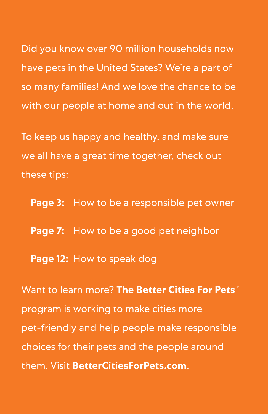Did you know over 90 million households now have pets in the United States? We're a part of so many families! And we love the chance to be with our people at home and out in the world.

To keep us happy and healthy, and make sure we all have a great time together, check out these tips:

**Page 3:** How to be a responsible pet owner **Page 7:** How to be a good pet neighbor **Page 12:** How to speak dog

Want to learn more? **The Better Cities For Pets**™ program is working to make cities more pet-friendly and help people make responsible choices for their pets and the people around them. Visit **BetterCitiesForPets.com**.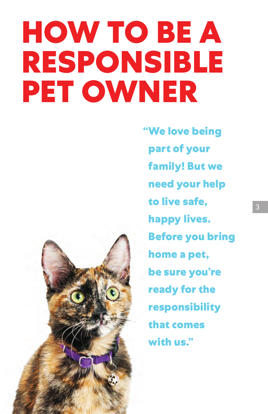## **HOW TO BE A RESPONSIBLE PET OWNER**



**"We love being part of your family! But we need your help to live safe, happy lives. Before you bring home a pet, be sure you're ready for the responsibility that comes with us."**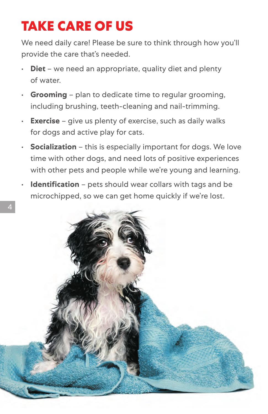#### **TAKE CARE OF US**

We need daily care! Please be sure to think through how you'll provide the care that's needed.

- **Diet** we need an appropriate, quality diet and plenty of water.
- **Grooming** plan to dedicate time to regular grooming, including brushing, teeth-cleaning and nail-trimming.
- **Exercise** give us plenty of exercise, such as daily walks for dogs and active play for cats.
- **Socialization** this is especially important for dogs. We love time with other dogs, and need lots of positive experiences with other pets and people while we're young and learning.
- **Identification** pets should wear collars with tags and be microchipped, so we can get home quickly if we're lost.

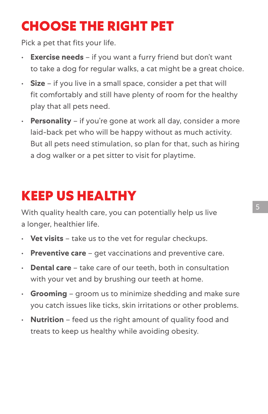#### **CHOOSE THE RIGHT PET**

Pick a pet that fits your life.

- **Exercise needs** if you want a furry friend but don't want to take a dog for regular walks, a cat might be a great choice.
- **Size** if you live in a small space, consider a pet that will fit comfortably and still have plenty of room for the healthy play that all pets need.
- **Personality** if you're gone at work all day, consider a more laid-back pet who will be happy without as much activity. But all pets need stimulation, so plan for that, such as hiring a dog walker or a pet sitter to visit for playtime.

#### **KEEP US HEALTHY**

With quality health care, you can potentially help us live a longer, healthier life.

- **Vet visits** take us to the vet for regular checkups.
- **Preventive care** get vaccinations and preventive care.
- **Dental care** take care of our teeth, both in consultation with your vet and by brushing our teeth at home.
- **Grooming** groom us to minimize shedding and make sure you catch issues like ticks, skin irritations or other problems.
- **Nutrition** feed us the right amount of quality food and treats to keep us healthy while avoiding obesity.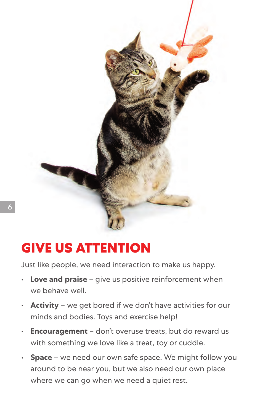

#### **GIVE US ATTENTION**

Just like people, we need interaction to make us happy.

- **Love and praise** give us positive reinforcement when we behave well.
- **Activity** we get bored if we don't have activities for our minds and bodies. Toys and exercise help!
- **Encouragement** don't overuse treats, but do reward us with something we love like a treat, toy or cuddle.
- **Space** we need our own safe space. We might follow you around to be near you, but we also need our own place where we can go when we need a quiet rest.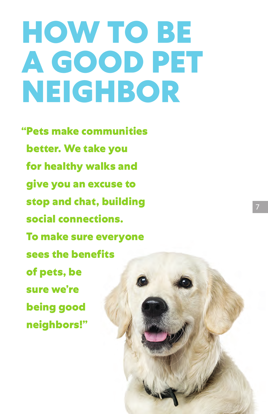### **HOW TO BE A GOOD PET NEIGHBOR**

**"Pets make communities better. We take you for healthy walks and give you an excuse to stop and chat, building social connections. To make sure everyone sees the benefits of pets, be sure we're being good neighbors!"**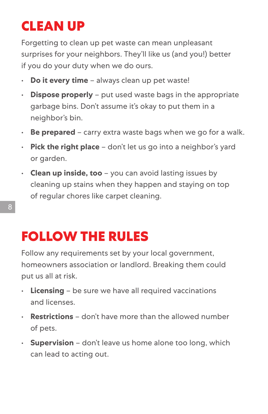### **CLEAN UP**

Forgetting to clean up pet waste can mean unpleasant surprises for your neighbors. They'll like us (and you!) better if you do your duty when we do ours.

- **Do it every time** always clean up pet waste!
- **Dispose properly** put used waste bags in the appropriate garbage bins. Don't assume it's okay to put them in a neighbor's bin.
- **Be prepared** carry extra waste bags when we go for a walk.
- **Pick the right place** don't let us go into a neighbor's yard or garden.
- **Clean up inside, too** you can avoid lasting issues by cleaning up stains when they happen and staying on top of regular chores like carpet cleaning.

#### **FOLLOW THE RULES**

Follow any requirements set by your local government, homeowners association or landlord. Breaking them could put us all at risk.

- **Licensing** be sure we have all required vaccinations and licenses.
- **Restrictions** don't have more than the allowed number of pets.
- **Supervision** don't leave us home alone too long, which can lead to acting out.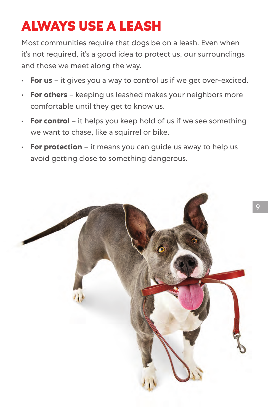#### **ALWAYS USE A LEASH**

Most communities require that dogs be on a leash. Even when it's not required, it's a good idea to protect us, our surroundings and those we meet along the way.

- **For us** it gives you a way to control us if we get over-excited.
- **For others** keeping us leashed makes your neighbors more comfortable until they get to know us.
- **For control** it helps you keep hold of us if we see something we want to chase, like a squirrel or bike.
- **For protection** it means you can guide us away to help us avoid getting close to something dangerous.

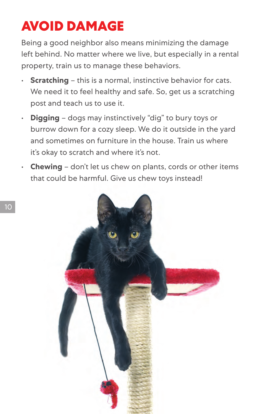#### **AVOID DAMAGE**

Being a good neighbor also means minimizing the damage left behind. No matter where we live, but especially in a rental property, train us to manage these behaviors.

- **Scratching** this is a normal, instinctive behavior for cats. We need it to feel healthy and safe. So, get us a scratching post and teach us to use it.
- **Digging** dogs may instinctively "dig" to bury toys or burrow down for a cozy sleep. We do it outside in the yard and sometimes on furniture in the house. Train us where it's okay to scratch and where it's not.
- **Chewing** don't let us chew on plants, cords or other items that could be harmful. Give us chew toys instead!

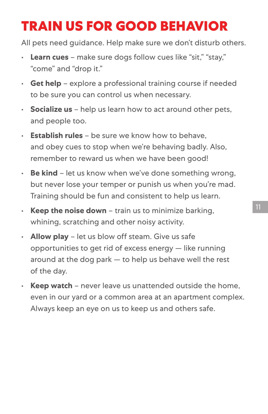#### **TRAIN US FOR GOOD BEHAVIOR**

All pets need guidance. Help make sure we don't disturb others.

- **Learn cues** make sure dogs follow cues like "sit," "stay," "come" and "drop it."
- **Get help** explore a professional training course if needed to be sure you can control us when necessary.
- **Socialize us** help us learn how to act around other pets, and people too.
- **Establish rules** be sure we know how to behave, and obey cues to stop when we're behaving badly. Also, remember to reward us when we have been good!
- **Be kind** let us know when we've done something wrong, but never lose your temper or punish us when you're mad. Training should be fun and consistent to help us learn.
- **Keep the noise down** train us to minimize barking, whining, scratching and other noisy activity.
- **Allow play** let us blow off steam. Give us safe opportunities to get rid of excess energy — like running around at the dog park — to help us behave well the rest of the day.
- **Keep watch** never leave us unattended outside the home, even in our yard or a common area at an apartment complex. Always keep an eye on us to keep us and others safe.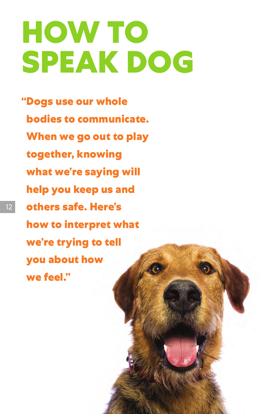### **HOW TO SPEAK DOG**

**"Dogs use our whole bodies to communicate. When we go out to play together, knowing what we're saying will help you keep us and others safe. Here's how to interpret what we're trying to tell you about how we feel."**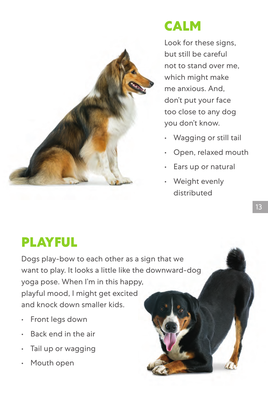

#### **CALM**

Look for these signs, but still be careful not to stand over me, which might make me anxious. And, don't put your face too close to any dog you don't know.

- Wagging or still tail
- Open, relaxed mouth
- Ears up or natural
- Weight evenly distributed

#### **PLAYFUL**

Dogs play-bow to each other as a sign that we want to play. It looks a little like the downward-dog yoga pose. When I'm in this happy, playful mood, I might get excited and knock down smaller kids.

- Front legs down
- Back end in the air
- Tail up or wagging
- Mouth open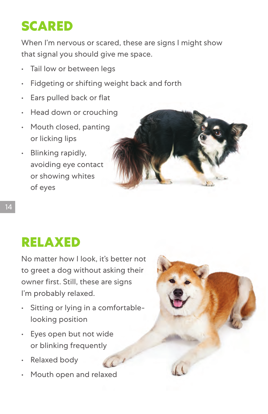#### **SCARED**

When I'm nervous or scared, these are signs I might show that signal you should give me space.

- Tail low or between legs
- Fidgeting or shifting weight back and forth
- Ears pulled back or flat
- Head down or crouching
- Mouth closed, panting or licking lips
- Blinking rapidly, avoiding eye contact or showing whites of eyes



#### **RELAXED**

No matter how I look, it's better not to greet a dog without asking their owner first. Still, these are signs I'm probably relaxed.

- Sitting or lying in a comfortablelooking position
- Eyes open but not wide or blinking frequently
- Relaxed body
- Mouth open and relaxed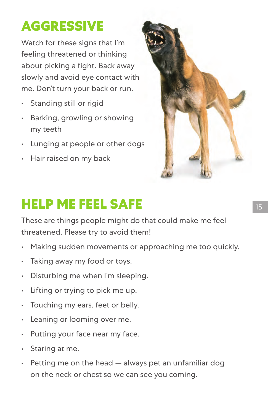### **AGGRESSIVE**

Watch for these signs that I'm feeling threatened or thinking about picking a fight. Back away slowly and avoid eye contact with me. Don't turn your back or run.

- Standing still or rigid
- Barking, growling or showing my teeth
- Lunging at people or other dogs
- Hair raised on my back



#### **HELP ME FEEL SAFE**

These are things people might do that could make me feel threatened. Please try to avoid them!

- Making sudden movements or approaching me too quickly.
- Taking away my food or toys.
- Disturbing me when I'm sleeping.
- Lifting or trying to pick me up.
- Touching my ears, feet or belly.
- Leaning or looming over me.
- Putting your face near my face.
- Staring at me.
- $\cdot$  Petting me on the head  $-$  always pet an unfamiliar dog on the neck or chest so we can see you coming.